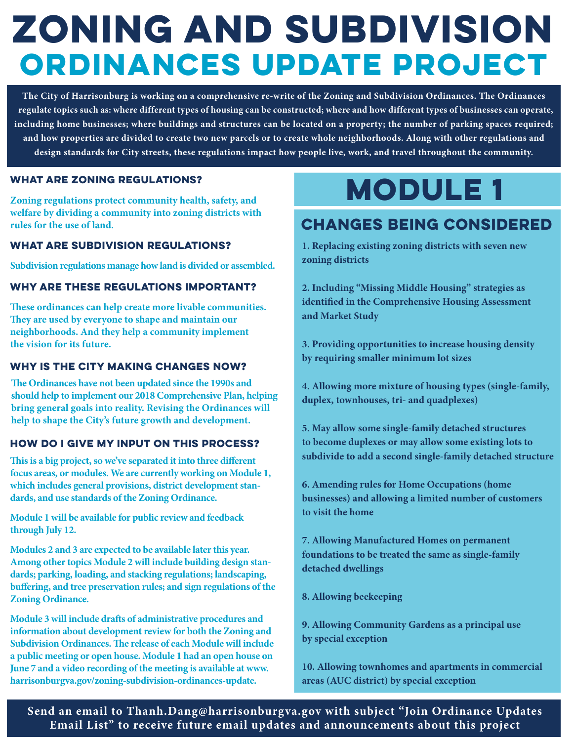## **Zoning and Subdivision Ordinances Update Project**

**The City of Harrisonburg is working on a comprehensive re-write of the Zoning and Subdivision Ordinances. The Ordinances regulate topics such as: where different types of housing can be constructed; where and how different types of businesses can operate, including home businesses; where buildings and structures can be located on a property; the number of parking spaces required; and how properties are divided to create two new parcels or to create whole neighborhoods. Along with other regulations and design standards for City streets, these regulations impact how people live, work, and travel throughout the community.** 

### **what are Zoning regulations?**

**Zoning regulations protect community health, safety, and welfare by dividing a community into zoning districts with rules for the use of land.** 

### **What are Subdivision regulations?**

**Subdivision regulations manage how land is divided or assembled.** 

### **why are these regulations important?**

**These ordinances can help create more livable communities. They are used by everyone to shape and maintain our neighborhoods. And they help a community implement the vision for its future.** 

### **Why is the CIty making changes now?**

**The Ordinances have not been updated since the 1990s and should help to implement our 2018 Comprehensive Plan, helping bring general goals into reality. Revising the Ordinances will help to shape the City's future growth and development.** 

### **How do I give my input on this process?**

**This is a big project, so we've separated it into three different focus areas, or modules. We are currently working on Module 1, which includes general provisions, district development standards, and use standards of the Zoning Ordinance.**

**Module 1 will be available for public review and feedback through July 12.** 

**Modules 2 and 3 are expected to be available later this year. Among other topics Module 2 will include building design standards; parking, loading, and stacking regulations; landscaping, buffering, and tree preservation rules; and sign regulations of the Zoning Ordinance.** 

**Module 3 will include drafts of administrative procedures and information about development review for both the Zoning and Subdivision Ordinances. The release of each Module will include a public meeting or open house. Module 1 had an open house on June 7 and a video recording of the meeting is available at www. harrisonburgva.gov/zoning-subdivision-ordinances-update.**

### **MODULE 1**

### **Changes being considered**

**1. Replacing existing zoning districts with seven new zoning districts** 

**2. Including "Missing Middle Housing" strategies as identified in the Comprehensive Housing Assessment and Market Study**

**3. Providing opportunities to increase housing density by requiring smaller minimum lot sizes**

**4. Allowing more mixture of housing types (single-family, duplex, townhouses, tri- and quadplexes)**

**5. May allow some single-family detached structures to become duplexes or may allow some existing lots to subdivide to add a second single-family detached structure** 

**6. Amending rules for Home Occupations (home businesses) and allowing a limited number of customers to visit the home**

**7. Allowing Manufactured Homes on permanent foundations to be treated the same as single-family detached dwellings**

**8. Allowing beekeeping**

**9. Allowing Community Gardens as a principal use by special exception** 

**10. Allowing townhomes and apartments in commercial areas (AUC district) by special exception** 

**Send an email to Thanh.Dang@harrisonburgva.gov with subject "Join Ordinance Updates Email List" to receive future email updates and announcements about this project**